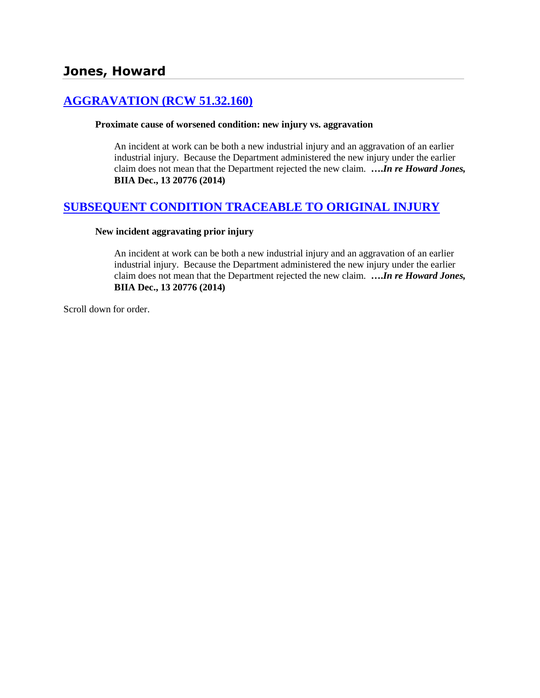# **[AGGRAVATION \(RCW 51.32.160\)](http://www.biia.wa.gov/SDSubjectIndex.html#AGGRAVATION)**

#### **Proximate cause of worsened condition: new injury vs. aggravation**

An incident at work can be both a new industrial injury and an aggravation of an earlier industrial injury. Because the Department administered the new injury under the earlier claim does not mean that the Department rejected the new claim. **….***In re Howard Jones,*  **BIIA Dec., 13 20776 (2014)**

# **SUBSEQUENT CONDITION [TRACEABLE TO ORIGINAL INJURY](http://www.biia.wa.gov/SDSubjectIndex.html#SUBSEQUENT_CONDITION_TRACEABLE_TO_ORIGINAL_INJURY)**

#### **New incident aggravating prior injury**

An incident at work can be both a new industrial injury and an aggravation of an earlier industrial injury. Because the Department administered the new injury under the earlier claim does not mean that the Department rejected the new claim. **….***In re Howard Jones,*  **BIIA Dec., 13 20776 (2014)**

Scroll down for order.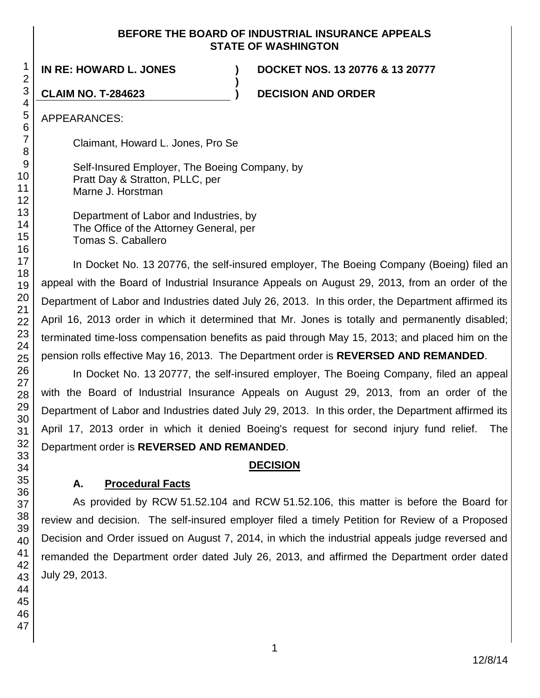#### **BEFORE THE BOARD OF INDUSTRIAL INSURANCE APPEALS STATE OF WASHINGTON**

**)**

**IN RE: HOWARD L. JONES ) DOCKET NOS. 13 20776 & 13 20777**

**CLAIM NO. T-284623 ) DECISION AND ORDER**

APPEARANCES:

Claimant, Howard L. Jones, Pro Se

Self-Insured Employer, The Boeing Company, by Pratt Day & Stratton, PLLC, per Marne J. Horstman

Department of Labor and Industries, by The Office of the Attorney General, per Tomas S. Caballero

In Docket No. 13 20776, the self-insured employer, The Boeing Company (Boeing) filed an appeal with the Board of Industrial Insurance Appeals on August 29, 2013, from an order of the Department of Labor and Industries dated July 26, 2013. In this order, the Department affirmed its April 16, 2013 order in which it determined that Mr. Jones is totally and permanently disabled; terminated time-loss compensation benefits as paid through May 15, 2013; and placed him on the pension rolls effective May 16, 2013. The Department order is **REVERSED AND REMANDED**.

In Docket No. 13 20777, the self-insured employer, The Boeing Company, filed an appeal with the Board of Industrial Insurance Appeals on August 29, 2013, from an order of the Department of Labor and Industries dated July 29, 2013. In this order, the Department affirmed its April 17, 2013 order in which it denied Boeing's request for second injury fund relief. The Department order is **REVERSED AND REMANDED**.

# **DECISION**

# **A. Procedural Facts**

As provided by RCW 51.52.104 and RCW 51.52.106, this matter is before the Board for review and decision. The self-insured employer filed a timely Petition for Review of a Proposed Decision and Order issued on August 7, 2014, in which the industrial appeals judge reversed and remanded the Department order dated July 26, 2013, and affirmed the Department order dated July 29, 2013.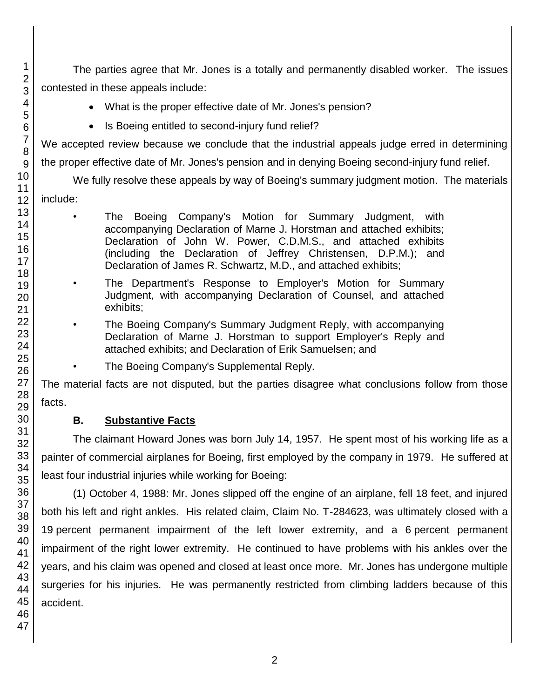The parties agree that Mr. Jones is a totally and permanently disabled worker. The issues contested in these appeals include:

- What is the proper effective date of Mr. Jones's pension?
- Is Boeing entitled to second-injury fund relief?

We accepted review because we conclude that the industrial appeals judge erred in determining the proper effective date of Mr. Jones's pension and in denying Boeing second-injury fund relief.

We fully resolve these appeals by way of Boeing's summary judgment motion. The materials include:

- The Boeing Company's Motion for Summary Judgment, with accompanying Declaration of Marne J. Horstman and attached exhibits; Declaration of John W. Power, C.D.M.S., and attached exhibits (including the Declaration of Jeffrey Christensen, D.P.M.); and Declaration of James R. Schwartz, M.D., and attached exhibits;
- The Department's Response to Employer's Motion for Summary Judgment, with accompanying Declaration of Counsel, and attached exhibits;
- The Boeing Company's Summary Judgment Reply, with accompanying Declaration of Marne J. Horstman to support Employer's Reply and attached exhibits; and Declaration of Erik Samuelsen; and
- The Boeing Company's Supplemental Reply.

The material facts are not disputed, but the parties disagree what conclusions follow from those facts.

# **B. Substantive Facts**

The claimant Howard Jones was born July 14, 1957. He spent most of his working life as a painter of commercial airplanes for Boeing, first employed by the company in 1979. He suffered at least four industrial injuries while working for Boeing:

(1) October 4, 1988: Mr. Jones slipped off the engine of an airplane, fell 18 feet, and injured both his left and right ankles. His related claim, Claim No. T-284623, was ultimately closed with a percent permanent impairment of the left lower extremity, and a 6 percent permanent impairment of the right lower extremity. He continued to have problems with his ankles over the years, and his claim was opened and closed at least once more. Mr. Jones has undergone multiple surgeries for his injuries. He was permanently restricted from climbing ladders because of this accident.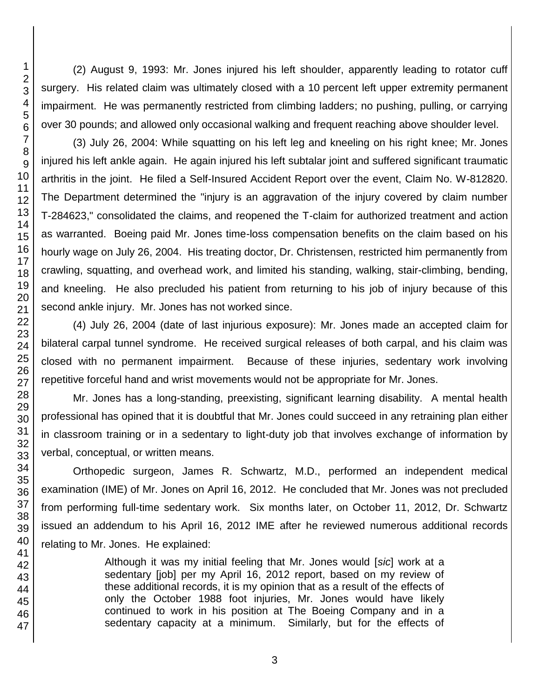(2) August 9, 1993: Mr. Jones injured his left shoulder, apparently leading to rotator cuff surgery. His related claim was ultimately closed with a 10 percent left upper extremity permanent impairment. He was permanently restricted from climbing ladders; no pushing, pulling, or carrying over 30 pounds; and allowed only occasional walking and frequent reaching above shoulder level.

(3) July 26, 2004: While squatting on his left leg and kneeling on his right knee; Mr. Jones injured his left ankle again. He again injured his left subtalar joint and suffered significant traumatic arthritis in the joint. He filed a Self-Insured Accident Report over the event, Claim No. W-812820. The Department determined the "injury is an aggravation of the injury covered by claim number T-284623," consolidated the claims, and reopened the T-claim for authorized treatment and action as warranted. Boeing paid Mr. Jones time-loss compensation benefits on the claim based on his hourly wage on July 26, 2004. His treating doctor, Dr. Christensen, restricted him permanently from crawling, squatting, and overhead work, and limited his standing, walking, stair-climbing, bending, and kneeling. He also precluded his patient from returning to his job of injury because of this second ankle injury. Mr. Jones has not worked since.

(4) July 26, 2004 (date of last injurious exposure): Mr. Jones made an accepted claim for bilateral carpal tunnel syndrome. He received surgical releases of both carpal, and his claim was closed with no permanent impairment. Because of these injuries, sedentary work involving repetitive forceful hand and wrist movements would not be appropriate for Mr. Jones.

Mr. Jones has a long-standing, preexisting, significant learning disability. A mental health professional has opined that it is doubtful that Mr. Jones could succeed in any retraining plan either in classroom training or in a sedentary to light-duty job that involves exchange of information by verbal, conceptual, or written means.

Orthopedic surgeon, James R. Schwartz, M.D., performed an independent medical examination (IME) of Mr. Jones on April 16, 2012. He concluded that Mr. Jones was not precluded from performing full-time sedentary work. Six months later, on October 11, 2012, Dr. Schwartz issued an addendum to his April 16, 2012 IME after he reviewed numerous additional records relating to Mr. Jones. He explained:

> Although it was my initial feeling that Mr. Jones would [*sic*] work at a sedentary [job] per my April 16, 2012 report, based on my review of these additional records, it is my opinion that as a result of the effects of only the October 1988 foot injuries, Mr. Jones would have likely continued to work in his position at The Boeing Company and in a sedentary capacity at a minimum. Similarly, but for the effects of

1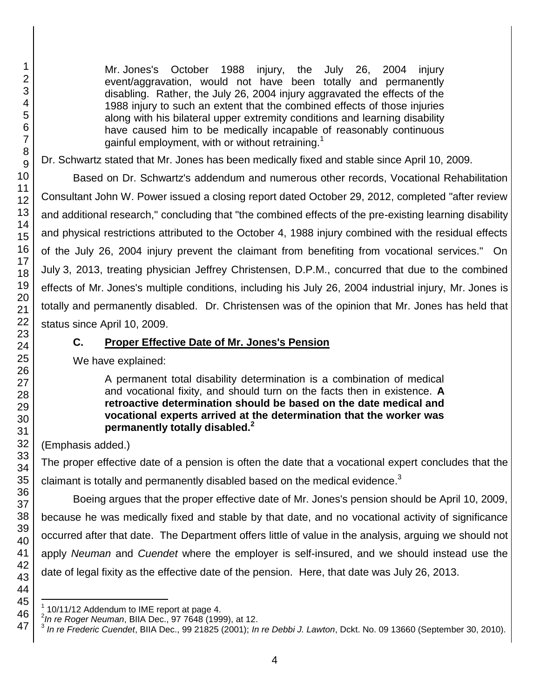l

Mr. Jones's October 1988 injury, the July 26, 2004 injury event/aggravation, would not have been totally and permanently disabling. Rather, the July 26, 2004 injury aggravated the effects of the 1988 injury to such an extent that the combined effects of those injuries along with his bilateral upper extremity conditions and learning disability have caused him to be medically incapable of reasonably continuous gainful employment, with or without retraining.<sup>1</sup>

Dr. Schwartz stated that Mr. Jones has been medically fixed and stable since April 10, 2009.

Based on Dr. Schwartz's addendum and numerous other records, Vocational Rehabilitation Consultant John W. Power issued a closing report dated October 29, 2012, completed "after review and additional research," concluding that "the combined effects of the pre-existing learning disability and physical restrictions attributed to the October 4, 1988 injury combined with the residual effects of the July 26, 2004 injury prevent the claimant from benefiting from vocational services." On July 3, 2013, treating physician Jeffrey Christensen, D.P.M., concurred that due to the combined effects of Mr. Jones's multiple conditions, including his July 26, 2004 industrial injury, Mr. Jones is totally and permanently disabled. Dr. Christensen was of the opinion that Mr. Jones has held that status since April 10, 2009.

### **C. Proper Effective Date of Mr. Jones's Pension**

We have explained:

A permanent total disability determination is a combination of medical and vocational fixity, and should turn on the facts then in existence. **A retroactive determination should be based on the date medical and vocational experts arrived at the determination that the worker was permanently totally disabled.<sup>2</sup>** 

(Emphasis added.)

The proper effective date of a pension is often the date that a vocational expert concludes that the claimant is totally and permanently disabled based on the medical evidence.<sup>3</sup>

Boeing argues that the proper effective date of Mr. Jones's pension should be April 10, 2009, because he was medically fixed and stable by that date, and no vocational activity of significance occurred after that date. The Department offers little of value in the analysis, arguing we should not apply *Neuman* and *Cuendet* where the employer is self-insured, and we should instead use the date of legal fixity as the effective date of the pension. Here, that date was July 26, 2013.

<sup>1</sup> 10/11/12 Addendum to IME report at page 4.

<sup>&</sup>lt;sup>2</sup> In re Roger Neuman, BIIA Dec., 97 7648 (1999), at 12.<br><sup>3</sup> Jn re Frederic Cuandet, BIIA Dec., 99,21825 (2001), In

*In re Frederic Cuendet*, BIIA Dec., 99 21825 (2001); *In re Debbi J. Lawton*, Dckt. No. 09 13660 (September 30, 2010).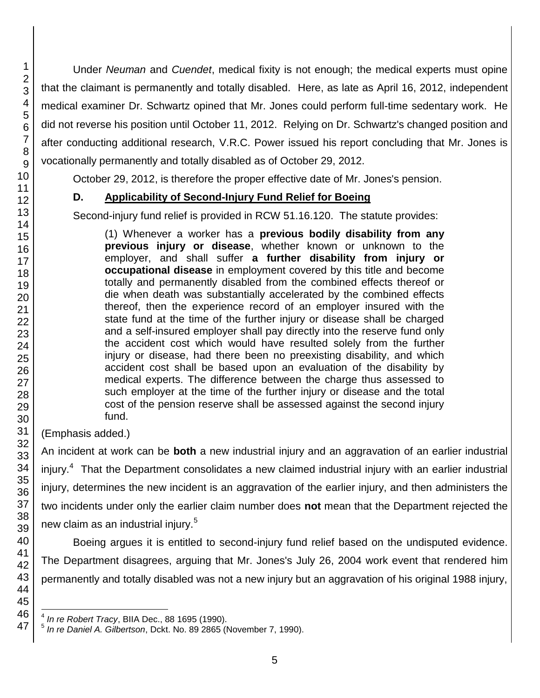Under *Neuman* and *Cuendet*, medical fixity is not enough; the medical experts must opine that the claimant is permanently and totally disabled. Here, as late as April 16, 2012, independent medical examiner Dr. Schwartz opined that Mr. Jones could perform full-time sedentary work. He did not reverse his position until October 11, 2012. Relying on Dr. Schwartz's changed position and after conducting additional research, V.R.C. Power issued his report concluding that Mr. Jones is vocationally permanently and totally disabled as of October 29, 2012.

October 29, 2012, is therefore the proper effective date of Mr. Jones's pension.

# **D. Applicability of Second-Injury Fund Relief for Boeing**

Second-injury fund relief is provided in RCW 51.16.120. The statute provides:

(1) Whenever a worker has a **previous bodily disability from any previous injury or disease**, whether known or unknown to the employer, and shall suffer **a further disability from injury or occupational disease** in employment covered by this title and become totally and permanently disabled from the combined effects thereof or die when death was substantially accelerated by the combined effects thereof, then the experience record of an employer insured with the state fund at the time of the further injury or disease shall be charged and a self-insured employer shall pay directly into the reserve fund only the accident cost which would have resulted solely from the further injury or disease, had there been no preexisting disability, and which accident cost shall be based upon an evaluation of the disability by medical experts. The difference between the charge thus assessed to such employer at the time of the further injury or disease and the total cost of the pension reserve shall be assessed against the second injury fund.

(Emphasis added.)

An incident at work can be **both** a new industrial injury and an aggravation of an earlier industrial injury.<sup>4</sup> That the Department consolidates a new claimed industrial injury with an earlier industrial injury, determines the new incident is an aggravation of the earlier injury, and then administers the two incidents under only the earlier claim number does **not** mean that the Department rejected the new claim as an industrial injury.<sup>5</sup>

Boeing argues it is entitled to second-injury fund relief based on the undisputed evidence. The Department disagrees, arguing that Mr. Jones's July 26, 2004 work event that rendered him permanently and totally disabled was not a new injury but an aggravation of his original 1988 injury,

 4 *In re Robert Tracy*, BIIA Dec., 88 1695 (1990).

<sup>5</sup> *In re Daniel A. Gilbertson*, Dckt. No. 89 2865 (November 7, 1990).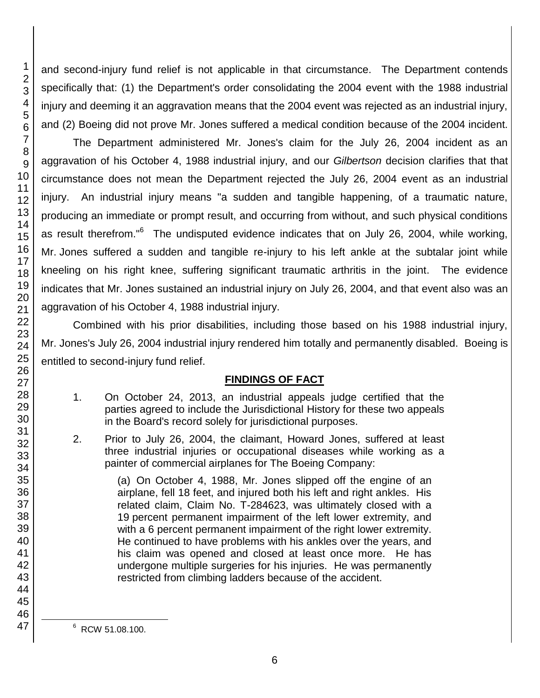and second-injury fund relief is not applicable in that circumstance. The Department contends specifically that: (1) the Department's order consolidating the 2004 event with the 1988 industrial injury and deeming it an aggravation means that the 2004 event was rejected as an industrial injury, and (2) Boeing did not prove Mr. Jones suffered a medical condition because of the 2004 incident.

The Department administered Mr. Jones's claim for the July 26, 2004 incident as an aggravation of his October 4, 1988 industrial injury, and our *Gilbertson* decision clarifies that that circumstance does not mean the Department rejected the July 26, 2004 event as an industrial injury. An industrial injury means "a sudden and tangible happening, of a traumatic nature, producing an immediate or prompt result, and occurring from without, and such physical conditions as result therefrom."<sup>6</sup> The undisputed evidence indicates that on July 26, 2004, while working, Mr. Jones suffered a sudden and tangible re-injury to his left ankle at the subtalar joint while kneeling on his right knee, suffering significant traumatic arthritis in the joint. The evidence indicates that Mr. Jones sustained an industrial injury on July 26, 2004, and that event also was an aggravation of his October 4, 1988 industrial injury.

Combined with his prior disabilities, including those based on his 1988 industrial injury, Mr. Jones's July 26, 2004 industrial injury rendered him totally and permanently disabled. Boeing is entitled to second-injury fund relief.

# **FINDINGS OF FACT**

- 1. On October 24, 2013, an industrial appeals judge certified that the parties agreed to include the Jurisdictional History for these two appeals in the Board's record solely for jurisdictional purposes.
- 2. Prior to July 26, 2004, the claimant, Howard Jones, suffered at least three industrial injuries or occupational diseases while working as a painter of commercial airplanes for The Boeing Company:

(a) On October 4, 1988, Mr. Jones slipped off the engine of an airplane, fell 18 feet, and injured both his left and right ankles. His related claim, Claim No. T-284623, was ultimately closed with a percent permanent impairment of the left lower extremity, and with a 6 percent permanent impairment of the right lower extremity. He continued to have problems with his ankles over the years, and his claim was opened and closed at least once more. He has undergone multiple surgeries for his injuries. He was permanently restricted from climbing ladders because of the accident.

RCW 51.08.100.

l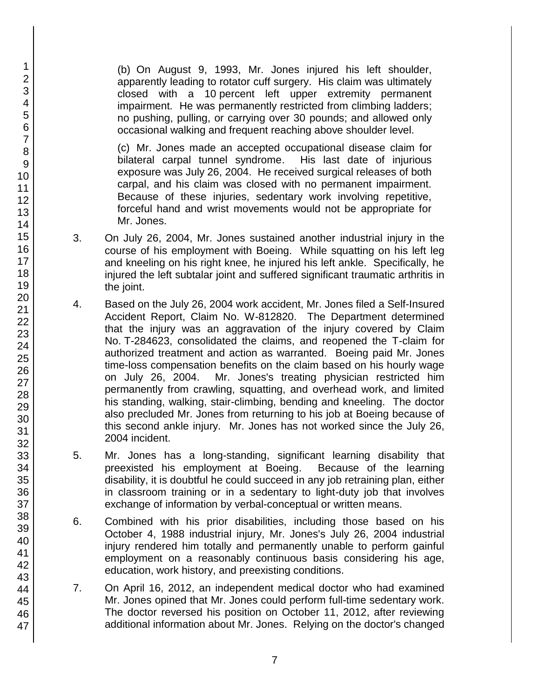(b) On August 9, 1993, Mr. Jones injured his left shoulder, apparently leading to rotator cuff surgery. His claim was ultimately closed with a 10 percent left upper extremity permanent impairment. He was permanently restricted from climbing ladders; no pushing, pulling, or carrying over 30 pounds; and allowed only occasional walking and frequent reaching above shoulder level.

(c) Mr. Jones made an accepted occupational disease claim for bilateral carpal tunnel syndrome. His last date of injurious exposure was July 26, 2004. He received surgical releases of both carpal, and his claim was closed with no permanent impairment. Because of these injuries, sedentary work involving repetitive, forceful hand and wrist movements would not be appropriate for Mr. Jones.

- 3. On July 26, 2004, Mr. Jones sustained another industrial injury in the course of his employment with Boeing. While squatting on his left leg and kneeling on his right knee, he injured his left ankle. Specifically, he injured the left subtalar joint and suffered significant traumatic arthritis in the joint.
- 4. Based on the July 26, 2004 work accident, Mr. Jones filed a Self-Insured Accident Report, Claim No. W-812820. The Department determined that the injury was an aggravation of the injury covered by Claim No. T-284623, consolidated the claims, and reopened the T-claim for authorized treatment and action as warranted. Boeing paid Mr. Jones time-loss compensation benefits on the claim based on his hourly wage on July 26, 2004. Mr. Jones's treating physician restricted him permanently from crawling, squatting, and overhead work, and limited his standing, walking, stair-climbing, bending and kneeling. The doctor also precluded Mr. Jones from returning to his job at Boeing because of this second ankle injury. Mr. Jones has not worked since the July 26, 2004 incident.
- 5. Mr. Jones has a long-standing, significant learning disability that preexisted his employment at Boeing. Because of the learning disability, it is doubtful he could succeed in any job retraining plan, either in classroom training or in a sedentary to light-duty job that involves exchange of information by verbal-conceptual or written means.
- 6. Combined with his prior disabilities, including those based on his October 4, 1988 industrial injury, Mr. Jones's July 26, 2004 industrial injury rendered him totally and permanently unable to perform gainful employment on a reasonably continuous basis considering his age, education, work history, and preexisting conditions.
- 7. On April 16, 2012, an independent medical doctor who had examined Mr. Jones opined that Mr. Jones could perform full-time sedentary work. The doctor reversed his position on October 11, 2012, after reviewing additional information about Mr. Jones. Relying on the doctor's changed

46 47